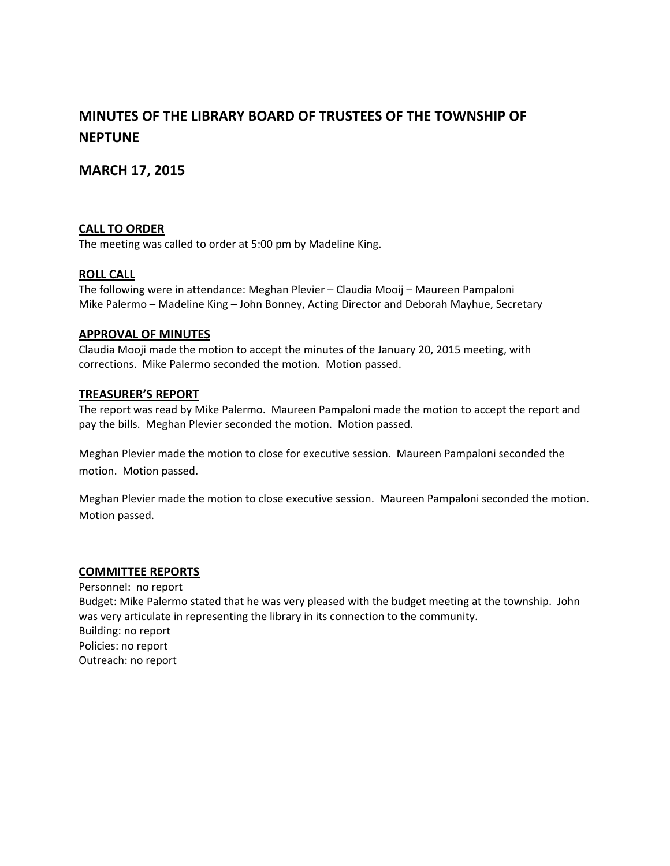# **MINUTES OF THE LIBRARY BOARD OF TRUSTEES OF THE TOWNSHIP OF NEPTUNE**

# **MARCH 17, 2015**

#### **CALL TO ORDER**

The meeting was called to order at 5:00 pm by Madeline King.

#### **ROLL CALL**

The following were in attendance: Meghan Plevier – Claudia Mooij – Maureen Pampaloni Mike Palermo – Madeline King – John Bonney, Acting Director and Deborah Mayhue, Secretary

#### **APPROVAL OF MINUTES**

Claudia Mooji made the motion to accept the minutes of the January 20, 2015 meeting, with corrections. Mike Palermo seconded the motion. Motion passed.

#### **TREASURER'S REPORT**

The report was read by Mike Palermo. Maureen Pampaloni made the motion to accept the report and pay the bills. Meghan Plevier seconded the motion. Motion passed.

Meghan Plevier made the motion to close for executive session. Maureen Pampaloni seconded the motion. Motion passed.

Meghan Plevier made the motion to close executive session. Maureen Pampaloni seconded the motion. Motion passed.

#### **COMMITTEE REPORTS**

Personnel: no report Budget: Mike Palermo stated that he was very pleased with the budget meeting at the township. John was very articulate in representing the library in its connection to the community. Building: no report Policies: no report Outreach: no report